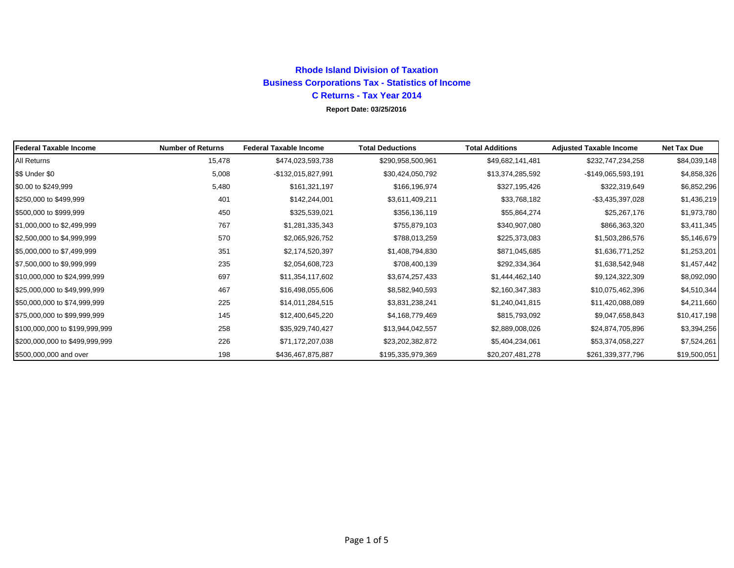# **Rhode Island Division of Taxation Business Corporations Tax - Statistics of Income C Returns - Tax Year 2014**

### **Report Date: 03/25/2016**

| <b>Federal Taxable Income</b>  | <b>Number of Returns</b> | <b>Federal Taxable Income</b> | <b>Total Deductions</b> | <b>Total Additions</b> | <b>Adjusted Taxable Income</b> | <b>Net Tax Due</b> |
|--------------------------------|--------------------------|-------------------------------|-------------------------|------------------------|--------------------------------|--------------------|
| <b>All Returns</b>             | 15,478                   | \$474,023,593,738             | \$290,958,500,961       | \$49,682,141,481       | \$232,747,234,258              | \$84,039,148       |
| \$\$ Under \$0                 | 5,008                    | -\$132,015,827,991            | \$30,424,050,792        | \$13,374,285,592       | -\$149,065,593,191             | \$4,858,326        |
| \$0.00 to \$249,999            | 5,480                    | \$161,321,197                 | \$166,196,974           | \$327,195,426          | \$322,319,649                  | \$6,852,296        |
| \$250,000 to \$499,999         | 401                      | \$142,244,001                 | \$3,611,409,211         | \$33,768,182           | $-$ \$3,435,397,028            | \$1,436,219        |
| \$500,000 to \$999,999         | 450                      | \$325,539,021                 | \$356,136,119           | \$55,864,274           | \$25,267,176                   | \$1,973,780        |
| \$1,000,000 to \$2,499,999     | 767                      | \$1,281,335,343               | \$755,879,103           | \$340,907,080          | \$866,363,320                  | \$3,411,345        |
| \$2,500,000 to \$4,999,999     | 570                      | \$2,065,926,752               | \$788,013,259           | \$225,373,083          | \$1,503,286,576                | \$5,146,679        |
| \$5,000,000 to \$7,499,999     | 351                      | \$2,174,520,397               | \$1,408,794,830         | \$871,045,685          | \$1,636,771,252                | \$1,253,201        |
| \$7,500,000 to \$9,999,999     | 235                      | \$2,054,608,723               | \$708,400,139           | \$292,334,364          | \$1,638,542,948                | \$1,457,442        |
| \$10,000,000 to \$24,999,999   | 697                      | \$11,354,117,602              | \$3,674,257,433         | \$1,444,462,140        | \$9,124,322,309                | \$8,092,090        |
| \$25,000,000 to \$49,999,999   | 467                      | \$16,498,055,606              | \$8,582,940,593         | \$2,160,347,383        | \$10,075,462,396               | \$4,510,344        |
| \$50,000,000 to \$74,999,999   | 225                      | \$14,011,284,515              | \$3,831,238,241         | \$1,240,041,815        | \$11,420,088,089               | \$4,211,660        |
| \$75,000,000 to \$99,999,999   | 145                      | \$12,400,645,220              | \$4,168,779,469         | \$815,793,092          | \$9,047,658,843                | \$10,417,198       |
| \$100,000,000 to \$199,999,999 | 258                      | \$35,929,740,427              | \$13,944,042,557        | \$2,889,008,026        | \$24,874,705,896               | \$3,394,256        |
| \$200,000,000 to \$499,999,999 | 226                      | \$71,172,207,038              | \$23,202,382,872        | \$5,404,234,061        | \$53,374,058,227               | \$7,524,261        |
| \$500,000,000 and over         | 198                      | \$436,467,875,887             | \$195,335,979,369       | \$20,207,481,278       | \$261,339,377,796              | \$19,500,051       |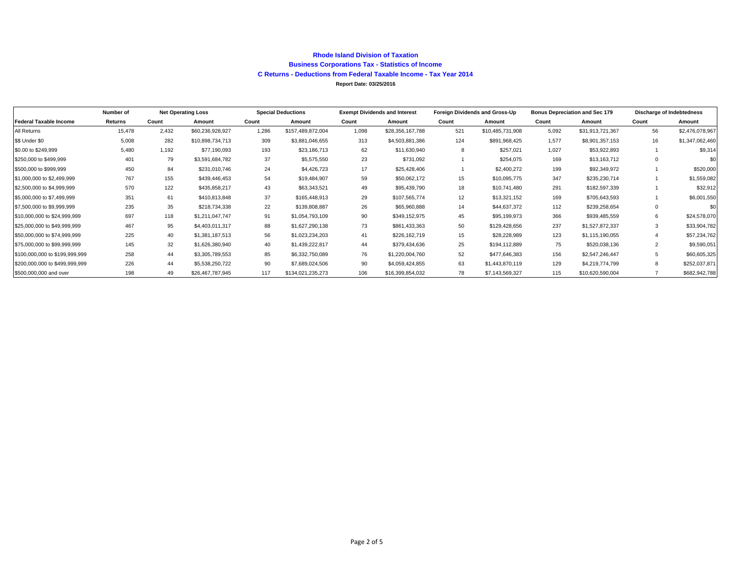#### **Rhode Island Division of Taxation Business Corporations Tax - Statistics of Income C Returns - Deductions from Federal Taxable Income - Tax Year 2014 Report Date: 03/25/2016**

|                                | Number of |       | <b>Net Operating Loss</b> | <b>Special Deductions</b> |                   | <b>Exempt Dividends and Interest</b> |                  | Foreign Dividends and Gross-Up |                  | <b>Bonus Depreciation and Sec 179</b> |                  | <b>Discharge of Indebtedness</b> |                 |
|--------------------------------|-----------|-------|---------------------------|---------------------------|-------------------|--------------------------------------|------------------|--------------------------------|------------------|---------------------------------------|------------------|----------------------------------|-----------------|
| <b>Federal Taxable Income</b>  | Returns   | Count | Amount                    | Count                     | Amount            | Count                                | Amount           | Count                          | Amount           | Count                                 | Amount           | Count                            | Amount          |
| All Returns                    | 15,478    | 2.432 | \$60,236,928,927          | 1.286                     | \$157,489,872,004 | 1,098                                | \$28,356,167,788 | 521                            | \$10,485,731,908 | 5,092                                 | \$31,913,721,367 | 56                               | \$2,476,078,967 |
| \$\$ Under \$0                 | 5,008     | 282   | \$10,898,734,713          | 309                       | \$3,881,046,655   | 313                                  | \$4,503,881,386  | 124                            | \$891,968,425    | 1.577                                 | \$8,901,357,153  | 16                               | \$1,347,062,460 |
| \$0.00 to \$249,999            | 5.480     | 1.192 | \$77,190,093              | 193                       | \$23,186,713      | 62                                   | \$11,630,940     | 8                              | \$257,021        | 1.027                                 | \$53,922,893     |                                  | \$9,314         |
| \$250,000 to \$499,999         | 401       | 79    | \$3,591,684,782           | 37                        | \$5,575,550       | 23                                   | \$731,092        |                                | \$254,075        | 169                                   | \$13,163,712     |                                  | \$0             |
| \$500,000 to \$999,999         | 450       | 84    | \$231,010,746             | 24                        | \$4,426,723       | 17                                   | \$25,428,406     |                                | \$2,400,272      | 199                                   | \$92,349,972     |                                  | \$520,000       |
| \$1,000,000 to \$2,499,999     | 767       | 155   | \$439,446,453             | 54                        | \$19,484,907      | 59                                   | \$50,062,172     | 15                             | \$10,095,775     | 347                                   | \$235,230,714    |                                  | \$1,559,082     |
| \$2,500,000 to \$4,999,999     | 570       | 122   | \$435,858,217             | 43                        | \$63,343,521      | 49                                   | \$95,439,790     | 18                             | \$10,741,480     | 291                                   | \$182,597,339    |                                  | \$32,912        |
| \$5,000,000 to \$7,499,999     | 351       | 61    | \$410,813,848             | 37                        | \$165,448,913     | 29                                   | \$107,565,774    | 12                             | \$13,321,152     | 169                                   | \$705,643,593    |                                  | \$6,001,550     |
| \$7,500,000 to \$9,999,999     | 235       | 35    | \$218,734,338             | 22                        | \$139,808,887     | 26                                   | \$65,960,888     | 14                             | \$44,637,372     | 112                                   | \$239,258,654    | $\Omega$                         | \$0             |
| \$10,000,000 to \$24,999,999   | 697       | 118   | \$1,211,047,747           | 91                        | \$1,054,793,109   | 90                                   | \$349,152,975    | 45                             | \$95,199,973     | 366                                   | \$939,485,559    | 6                                | \$24,578,070    |
| \$25,000,000 to \$49,999,999   | 467       | 95    | \$4,403,011,317           | 88                        | \$1,627,290,138   | 73                                   | \$861,433,363    | 50                             | \$129,428,656    | 237                                   | \$1,527,872,337  | 3                                | \$33,904,782    |
| \$50,000,000 to \$74,999,999   | 225       | 40    | \$1,381,187,513           | 56                        | \$1,023,234,203   | 41                                   | \$226,162,719    | 15                             | \$28,228,989     | 123                                   | \$1,115,190,055  |                                  | \$57,234,762    |
| \$75,000,000 to \$99,999,999   | 145       | 32    | \$1,626,380,940           | 40                        | \$1,439,222,817   | 44                                   | \$379,434,636    | 25                             | \$194,112,889    | 75                                    | \$520,038,136    |                                  | \$9,590,051     |
| \$100,000,000 to \$199,999,999 | 258       | 44    | \$3,305,789,553           | 85                        | \$6,332,750,089   | 76                                   | \$1,220,004,760  | 52                             | \$477,646,383    | 156                                   | \$2,547,246,447  |                                  | \$60,605,325    |
| \$200,000,000 to \$499,999,999 | 226       | 44    | \$5,538,250,722           | 90                        | \$7,689,024,506   | 90                                   | \$4,059,424,855  | 63                             | \$1,443,870,119  | 129                                   | \$4,219,774,799  |                                  | \$252,037,871   |
| \$500,000,000 and over         | 198       | 49    | \$26,467,787,945          | 117                       | \$134,021,235,273 | 106                                  | \$16,399,854,032 | 78                             | \$7,143,569,327  | 115                                   | \$10,620,590,004 |                                  | \$682,942,788   |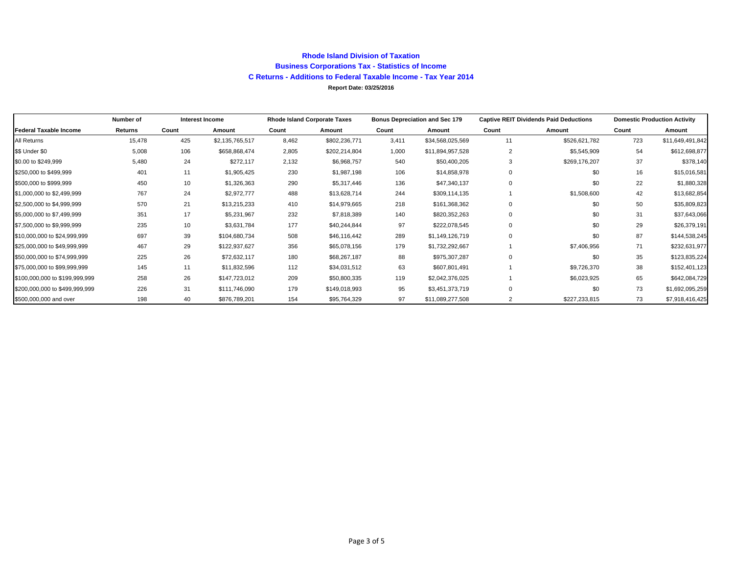#### **Rhode Island Division of Taxation Business Corporations Tax - Statistics of Income C Returns - Additions to Federal Taxable Income - Tax Year 2014 Report Date: 03/25/2016**

|                                | Number of |       | Interest Income | <b>Rhode Island Corporate Taxes</b> |               |       | <b>Bonus Depreciation and Sec 179</b> |                | <b>Captive REIT Dividends Paid Deductions</b> | <b>Domestic Production Activity</b> |                  |  |
|--------------------------------|-----------|-------|-----------------|-------------------------------------|---------------|-------|---------------------------------------|----------------|-----------------------------------------------|-------------------------------------|------------------|--|
| Federal Taxable Income         | Returns   | Count | Amount          | Count                               | Amount        | Count | Amount                                | Count          | Amount                                        | Count                               | Amount           |  |
| All Returns                    | 15,478    | 425   | \$2,135,765,517 | 8,462                               | \$802,236,771 | 3,411 | \$34,568,025,569                      | 11             | \$526,621,782                                 | 723                                 | \$11,649,491,842 |  |
| \$\$ Under \$0                 | 5,008     | 106   | \$658,868,474   | 2,805                               | \$202,214,804 | 1,000 | \$11,894,957,528                      | $\overline{2}$ | \$5,545,909                                   | 54                                  | \$612,698,877    |  |
| \$0.00 to \$249,999            | 5,480     | 24    | \$272,117       | 2,132                               | \$6,968,757   | 540   | \$50,400,205                          | 3              | \$269,176,207                                 | 37                                  | \$378,140        |  |
| \$250,000 to \$499,999         | 401       | 11    | \$1,905,425     | 230                                 | \$1,987,198   | 106   | \$14,858,978                          | $\mathbf 0$    | \$0                                           | 16                                  | \$15,016,581     |  |
| \$500,000 to \$999,999         | 450       | 10    | \$1,326,363     | 290                                 | \$5,317,446   | 136   | \$47,340,137                          | $\mathbf 0$    | \$0                                           | 22                                  | \$1,880,328      |  |
| \$1,000,000 to \$2,499,999     | 767       | 24    | \$2,972,777     | 488                                 | \$13,628,714  | 244   | \$309,114,135                         |                | \$1,508,600                                   | 42                                  | \$13,682,854     |  |
| \$2,500,000 to \$4,999,999     | 570       | 21    | \$13,215,233    | 410                                 | \$14,979,665  | 218   | \$161,368,362                         | $\mathbf 0$    | \$0                                           | 50                                  | \$35,809,823     |  |
| \$5,000,000 to \$7,499,999     | 351       | 17    | \$5,231,967     | 232                                 | \$7,818,389   | 140   | \$820,352,263                         | $\mathbf 0$    | \$0                                           | 31                                  | \$37,643,066     |  |
| \$7,500,000 to \$9,999,999     | 235       | 10    | \$3,631,784     | 177                                 | \$40,244,844  | 97    | \$222,078,545                         | $\mathbf 0$    | \$0                                           | 29                                  | \$26,379,191     |  |
| \$10,000,000 to \$24,999,999   | 697       | 39    | \$104,680,734   | 508                                 | \$46,116,442  | 289   | \$1,149,126,719                       | $\mathbf 0$    | \$0                                           | 87                                  | \$144,538,245    |  |
| \$25,000,000 to \$49,999,999   | 467       | 29    | \$122,937,627   | 356                                 | \$65,078,156  | 179   | \$1,732,292,667                       |                | \$7,406,956                                   | 71                                  | \$232,631,977    |  |
| \$50,000,000 to \$74,999,999   | 225       | 26    | \$72,632,117    | 180                                 | \$68,267,187  | 88    | \$975,307,287                         | $\mathbf 0$    | \$0                                           | 35                                  | \$123,835,224    |  |
| \$75,000,000 to \$99,999,999   | 145       | 11    | \$11,832,596    | 112                                 | \$34,031,512  | 63    | \$607,801,491                         |                | \$9,726,370                                   | 38                                  | \$152,401,123    |  |
| \$100,000,000 to \$199,999,999 | 258       | 26    | \$147,723,012   | 209                                 | \$50,800,335  | 119   | \$2,042,376,025                       |                | \$6,023,925                                   | 65                                  | \$642,084,729    |  |
| \$200,000,000 to \$499,999,999 | 226       | 31    | \$111,746,090   | 179                                 | \$149,018,993 | 95    | \$3,451,373,719                       | $\mathbf 0$    | \$0                                           | 73                                  | \$1,692,095,259  |  |
| \$500,000,000 and over         | 198       | 40    | \$876,789,201   | 154                                 | \$95,764,329  | 97    | \$11,089,277,508                      | $\overline{2}$ | \$227,233,815                                 | 73                                  | \$7,918,416,425  |  |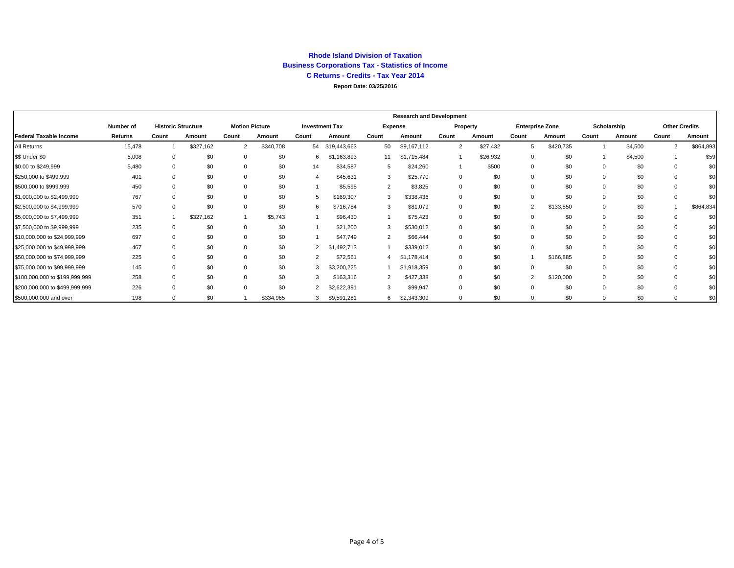#### **Rhode Island Division of Taxation Business Corporations Tax - Statistics of Income C Returns - Credits - Tax Year 2014 Report Date: 03/25/2016**

|                                |           |       |                           |                       |           |                |                       |                | <b>Research and Development</b> |                |          |                |                        |       |             |                |                      |
|--------------------------------|-----------|-------|---------------------------|-----------------------|-----------|----------------|-----------------------|----------------|---------------------------------|----------------|----------|----------------|------------------------|-------|-------------|----------------|----------------------|
|                                | Number of |       | <b>Historic Structure</b> | <b>Motion Picture</b> |           |                | <b>Investment Tax</b> |                | Expense                         |                | Property |                | <b>Enterprise Zone</b> |       | Scholarship |                | <b>Other Credits</b> |
| <b>Federal Taxable Income</b>  | Returns   | Count | Amount                    | Count                 | Amount    | Count          | Amount                | Count          | Amount                          | Count          | Amount   | Count          | Amount                 | Count | Amount      | Count          | Amount               |
| All Returns                    | 15,478    |       | \$327,162                 | $\overline{2}$        | \$340,708 | 54             | \$19,443,663          | 50             | \$9,167,112                     | $\overline{2}$ | \$27,432 | 5              | \$420,735              |       | \$4,500     | $\overline{2}$ | \$864,893            |
| \$\$ Under \$0                 | 5,008     |       | \$0                       | $\Omega$              | \$0       | 6              | 163,893               | 11             | \$1,715,484                     |                | \$26,932 | $\Omega$       | \$0                    |       | \$4,500     |                | \$59                 |
| \$0.00 to \$249,999            | 5,480     |       | \$0                       | $\Omega$              | \$0       | 14             | \$34,587              | 5              | \$24,260                        |                | \$500    | $\Omega$       | \$0                    |       | \$0         |                | \$С                  |
| \$250,000 to \$499,999         | 401       |       | \$0                       | $\Omega$              | \$0       | 4              | \$45,631              | 3              | \$25,770                        | $\mathbf 0$    | \$0      |                | \$0                    |       | \$0         |                | \$С                  |
| \$500,000 to \$999,999         | 450       |       | \$0                       | $\Omega$              | \$0       |                | \$5,595               | $\overline{2}$ | \$3,825                         | $\mathbf 0$    | \$0      |                | \$0                    |       | \$0         |                | \$С                  |
| \$1,000,000 to \$2,499,999     | 767       |       | \$0                       | $\Omega$              | \$0       | 5              | \$169,307             | 3              | \$338,436                       | $\mathbf 0$    | \$0      | $\Omega$       | \$0                    |       | \$0         |                | \$0                  |
| \$2,500,000 to \$4,999,999     | 570       |       | \$0                       | $\Omega$              | \$0       | 6              | \$716,784             | 3              | \$81,079                        | $\mathbf 0$    | \$0      | $\overline{2}$ | \$133,850              |       | \$0         |                | \$864,834            |
| \$5,000,000 to \$7,499,999     | 351       |       | \$327,162                 |                       | \$5,743   |                | \$96,430              |                | \$75,423                        | 0              | \$0      |                | \$0                    |       | \$0         |                | \$C                  |
| \$7,500,000 to \$9,999,999     | 235       |       | \$0                       | $\Omega$              | \$0       |                | \$21,200              | 3              | \$530,012                       | $\Omega$       | \$0      |                | \$0                    |       | \$0         |                | \$С                  |
| \$10,000,000 to \$24,999,999   | 697       |       | \$0                       | $\Omega$              | \$0       |                | \$47,749              | $\overline{2}$ | \$66,444                        | 0              | \$0      |                | \$0                    |       | \$0         |                | \$С                  |
| \$25,000,000 to \$49,999,999   | 467       |       | \$0                       | 0                     | \$0       | 2              | \$1,492,713           |                | \$339,012                       | 0              | \$0      | $\Omega$       | \$0                    |       | \$0         |                | \$С                  |
| \$50,000,000 to \$74,999,999   | 225       |       | \$0                       | 0                     | \$0       | 2              | \$72,561              |                | \$1,178,414                     | $\mathbf 0$    | \$0      |                | \$166,885              |       | \$0         |                | \$С                  |
| \$75,000,000 to \$99,999,999   | 145       |       | \$0                       | $\Omega$              | \$0       | 3              | \$3,200,225           |                | \$1,918,359                     | $\Omega$       | \$0      | $\Omega$       | \$0                    |       | \$0         |                | \$С                  |
| \$100,000,000 to \$199,999,999 | 258       |       | \$0                       | $\Omega$              | \$0       | 3              | \$163,316             |                | \$427,338                       | $\Omega$       | \$0      | $\overline{2}$ | \$120,000              |       | \$0         |                | \$С                  |
| \$200,000,000 to \$499,999,999 | 226       |       | \$0                       | $\Omega$              | \$0       | $\overline{2}$ | \$2,622,391           | 3              | \$99,947                        | $\Omega$       | \$0      |                | \$0                    |       | \$0         |                | \$C                  |
| \$500,000,000 and over         | 198       |       | \$0                       |                       | \$334,965 | 3              | \$9,591,281           | 6              | \$2,343,309                     |                | \$0      |                | \$0                    |       | \$0         |                | \$С                  |